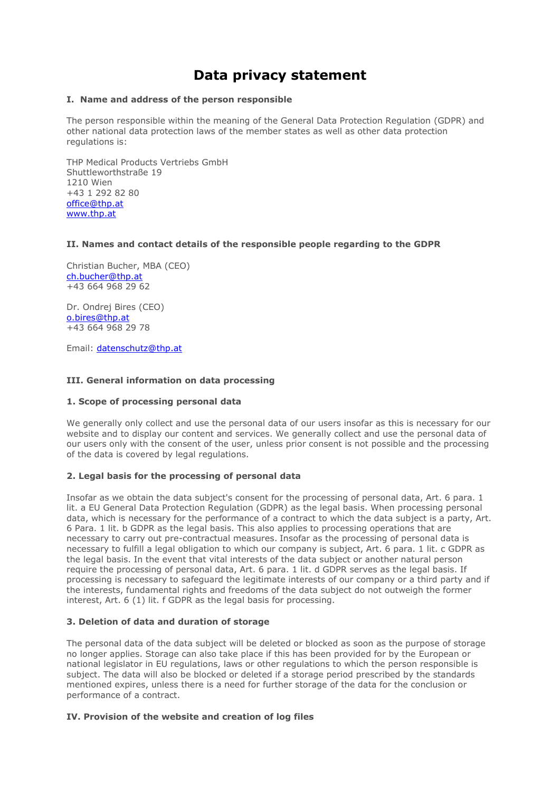# **Data privacy statement**

#### **I. Name and address of the person responsible**

The person responsible within the meaning of the General Data Protection Regulation (GDPR) and other national data protection laws of the member states as well as other data protection regulations is:

THP Medical Products Vertriebs GmbH Shuttleworthstraße 19 1210 Wien +43 1 292 82 80 [office@thp.at](mailto:office@thp.at) [www.thp.at](http://www.thp.at/)

## **II. Names and contact details of the responsible people regarding to the GDPR**

Christian Bucher, MBA (CEO) [ch.bucher@thp.at](mailto:ch.bucher@thp.at)  +43 664 968 29 62

Dr. Ondrej Bires (CEO) [o.bires@thp.at](mailto:o.bires@thp.at) +43 664 968 29 78

Email: [datenschutz@thp.at](mailto:datenschutz@thp.at)

## **III. General information on data processing**

## **1. Scope of processing personal data**

We generally only collect and use the personal data of our users insofar as this is necessary for our website and to display our content and services. We generally collect and use the personal data of our users only with the consent of the user, unless prior consent is not possible and the processing of the data is covered by legal regulations.

## **2. Legal basis for the processing of personal data**

Insofar as we obtain the data subject's consent for the processing of personal data, Art. 6 para. 1 lit. a EU General Data Protection Regulation (GDPR) as the legal basis. When processing personal data, which is necessary for the performance of a contract to which the data subject is a party, Art. 6 Para. 1 lit. b GDPR as the legal basis. This also applies to processing operations that are necessary to carry out pre-contractual measures. Insofar as the processing of personal data is necessary to fulfill a legal obligation to which our company is subject, Art. 6 para. 1 lit. c GDPR as the legal basis. In the event that vital interests of the data subject or another natural person require the processing of personal data, Art. 6 para. 1 lit. d GDPR serves as the legal basis. If processing is necessary to safeguard the legitimate interests of our company or a third party and if the interests, fundamental rights and freedoms of the data subject do not outweigh the former interest, Art. 6 (1) lit. f GDPR as the legal basis for processing.

## **3. Deletion of data and duration of storage**

The personal data of the data subject will be deleted or blocked as soon as the purpose of storage no longer applies. Storage can also take place if this has been provided for by the European or national legislator in EU regulations, laws or other regulations to which the person responsible is subject. The data will also be blocked or deleted if a storage period prescribed by the standards mentioned expires, unless there is a need for further storage of the data for the conclusion or performance of a contract.

## **IV. Provision of the website and creation of log files**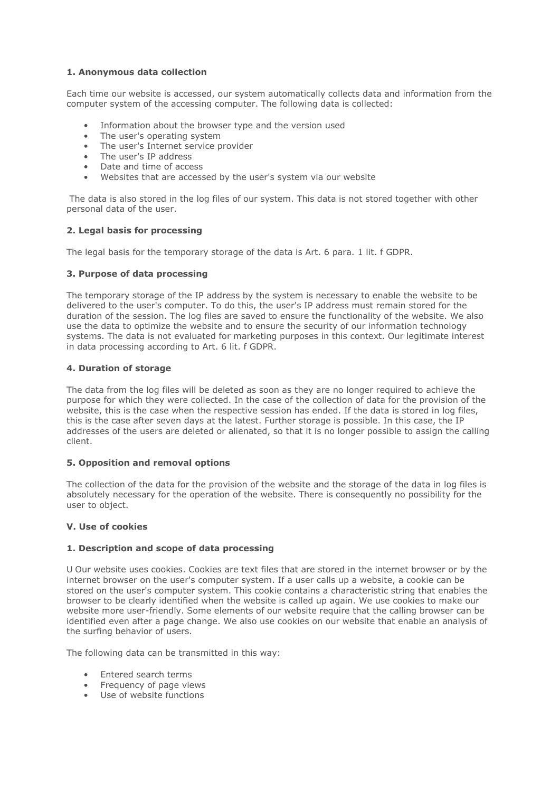# **1. Anonymous data collection**

Each time our website is accessed, our system automatically collects data and information from the computer system of the accessing computer. The following data is collected:

- Information about the browser type and the version used
- The user's operating system
- The user's Internet service provider
- The user's IP address
- Date and time of access
- Websites that are accessed by the user's system via our website

The data is also stored in the log files of our system. This data is not stored together with other personal data of the user.

## **2. Legal basis for processing**

The legal basis for the temporary storage of the data is Art. 6 para. 1 lit. f GDPR.

## **3. Purpose of data processing**

The temporary storage of the IP address by the system is necessary to enable the website to be delivered to the user's computer. To do this, the user's IP address must remain stored for the duration of the session. The log files are saved to ensure the functionality of the website. We also use the data to optimize the website and to ensure the security of our information technology systems. The data is not evaluated for marketing purposes in this context. Our legitimate interest in data processing according to Art. 6 lit. f GDPR.

# **4. Duration of storage**

The data from the log files will be deleted as soon as they are no longer required to achieve the purpose for which they were collected. In the case of the collection of data for the provision of the website, this is the case when the respective session has ended. If the data is stored in log files, this is the case after seven days at the latest. Further storage is possible. In this case, the IP addresses of the users are deleted or alienated, so that it is no longer possible to assign the calling client.

## **5. Opposition and removal options**

The collection of the data for the provision of the website and the storage of the data in log files is absolutely necessary for the operation of the website. There is consequently no possibility for the user to object.

## **V. Use of cookies**

## **1. Description and scope of data processing**

U Our website uses cookies. Cookies are text files that are stored in the internet browser or by the internet browser on the user's computer system. If a user calls up a website, a cookie can be stored on the user's computer system. This cookie contains a characteristic string that enables the browser to be clearly identified when the website is called up again. We use cookies to make our website more user-friendly. Some elements of our website require that the calling browser can be identified even after a page change. We also use cookies on our website that enable an analysis of the surfing behavior of users.

The following data can be transmitted in this way:

- Entered search terms
- Frequency of page views
- Use of website functions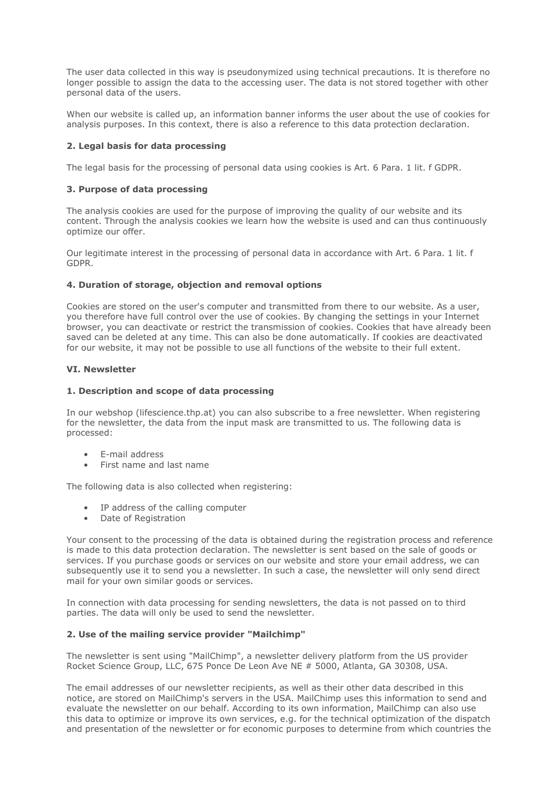The user data collected in this way is pseudonymized using technical precautions. It is therefore no longer possible to assign the data to the accessing user. The data is not stored together with other personal data of the users.

When our website is called up, an information banner informs the user about the use of cookies for analysis purposes. In this context, there is also a reference to this data protection declaration.

## **2. Legal basis for data processing**

The legal basis for the processing of personal data using cookies is Art. 6 Para. 1 lit. f GDPR.

# **3. Purpose of data processing**

The analysis cookies are used for the purpose of improving the quality of our website and its content. Through the analysis cookies we learn how the website is used and can thus continuously optimize our offer.

Our legitimate interest in the processing of personal data in accordance with Art. 6 Para. 1 lit. f GDPR.

## **4. Duration of storage, objection and removal options**

Cookies are stored on the user's computer and transmitted from there to our website. As a user, you therefore have full control over the use of cookies. By changing the settings in your Internet browser, you can deactivate or restrict the transmission of cookies. Cookies that have already been saved can be deleted at any time. This can also be done automatically. If cookies are deactivated for our website, it may not be possible to use all functions of the website to their full extent.

## **VI. Newsletter**

## **1. Description and scope of data processing**

In our webshop (lifescience.thp.at) you can also subscribe to a free newsletter. When registering for the newsletter, the data from the input mask are transmitted to us. The following data is processed:

- E-mail address
- First name and last name

The following data is also collected when registering:

- IP address of the calling computer
- Date of Registration

Your consent to the processing of the data is obtained during the registration process and reference is made to this data protection declaration. The newsletter is sent based on the sale of goods or services. If you purchase goods or services on our website and store your email address, we can subsequently use it to send you a newsletter. In such a case, the newsletter will only send direct mail for your own similar goods or services.

In connection with data processing for sending newsletters, the data is not passed on to third parties. The data will only be used to send the newsletter.

## **2. Use of the mailing service provider "Mailchimp"**

The newsletter is sent using "MailChimp", a newsletter delivery platform from the US provider Rocket Science Group, LLC, 675 Ponce De Leon Ave NE # 5000, Atlanta, GA 30308, USA.

The email addresses of our newsletter recipients, as well as their other data described in this notice, are stored on MailChimp's servers in the USA. MailChimp uses this information to send and evaluate the newsletter on our behalf. According to its own information, MailChimp can also use this data to optimize or improve its own services, e.g. for the technical optimization of the dispatch and presentation of the newsletter or for economic purposes to determine from which countries the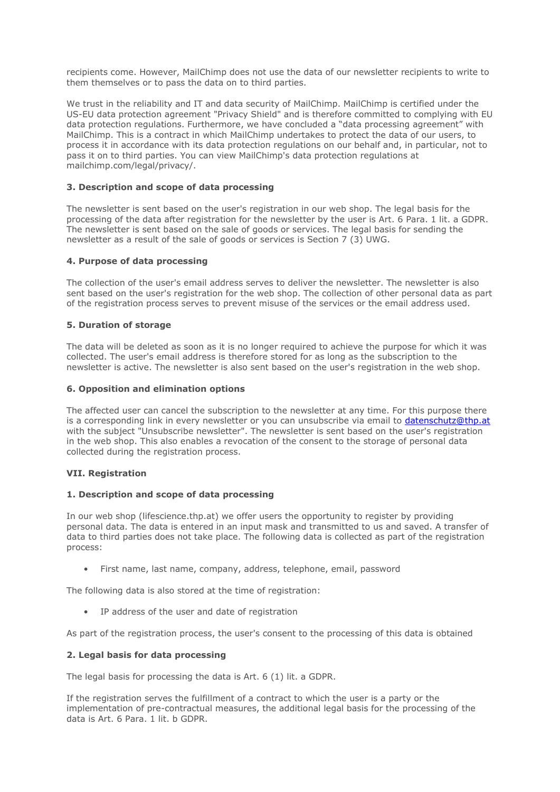recipients come. However, MailChimp does not use the data of our newsletter recipients to write to them themselves or to pass the data on to third parties.

We trust in the reliability and IT and data security of MailChimp. MailChimp is certified under the US-EU data protection agreement "Privacy Shield" and is therefore committed to complying with EU data protection regulations. Furthermore, we have concluded a "data processing agreement" with MailChimp. This is a contract in which MailChimp undertakes to protect the data of our users, to process it in accordance with its data protection regulations on our behalf and, in particular, not to pass it on to third parties. You can view MailChimp's data protection regulations at mailchimp.com/legal/privacy/.

## **3. Description and scope of data processing**

The newsletter is sent based on the user's registration in our web shop. The legal basis for the processing of the data after registration for the newsletter by the user is Art. 6 Para. 1 lit. a GDPR. The newsletter is sent based on the sale of goods or services. The legal basis for sending the newsletter as a result of the sale of goods or services is Section 7 (3) UWG.

# **4. Purpose of data processing**

The collection of the user's email address serves to deliver the newsletter. The newsletter is also sent based on the user's registration for the web shop. The collection of other personal data as part of the registration process serves to prevent misuse of the services or the email address used.

# **5. Duration of storage**

The data will be deleted as soon as it is no longer required to achieve the purpose for which it was collected. The user's email address is therefore stored for as long as the subscription to the newsletter is active. The newsletter is also sent based on the user's registration in the web shop.

# **6. Opposition and elimination options**

The affected user can cancel the subscription to the newsletter at any time. For this purpose there is a corresponding link in every newsletter or you can unsubscribe via email to [datenschutz@thp.at](mailto:datenschutz@thp.at) with the subject "Unsubscribe newsletter". The newsletter is sent based on the user's registration in the web shop. This also enables a revocation of the consent to the storage of personal data collected during the registration process.

# **VII. Registration**

## **1. Description and scope of data processing**

In our web shop (lifescience.thp.at) we offer users the opportunity to register by providing personal data. The data is entered in an input mask and transmitted to us and saved. A transfer of data to third parties does not take place. The following data is collected as part of the registration process:

• First name, last name, company, address, telephone, email, password

The following data is also stored at the time of registration:

• IP address of the user and date of registration

As part of the registration process, the user's consent to the processing of this data is obtained

## **2. Legal basis for data processing**

The legal basis for processing the data is Art. 6 (1) lit. a GDPR.

If the registration serves the fulfillment of a contract to which the user is a party or the implementation of pre-contractual measures, the additional legal basis for the processing of the data is Art. 6 Para. 1 lit. b GDPR.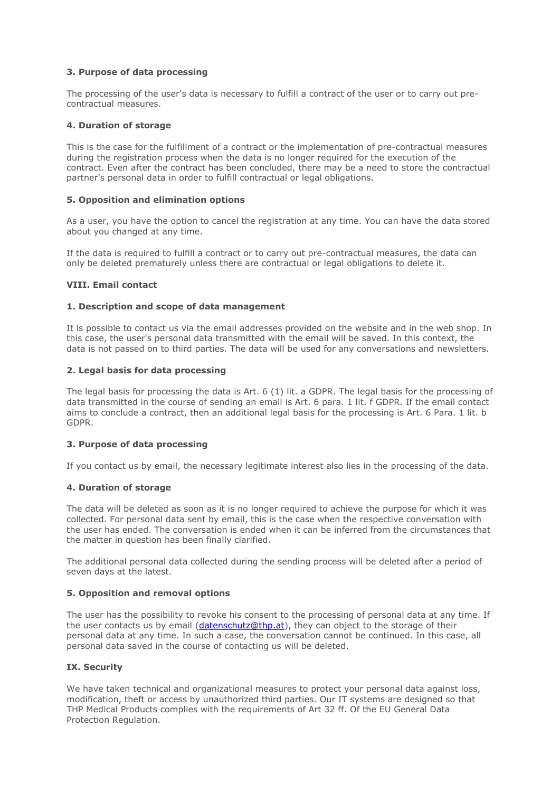# **3. Purpose of data processing**

The processing of the user's data is necessary to fulfill a contract of the user or to carry out precontractual measures.

# **4. Duration of storage**

This is the case for the fulfillment of a contract or the implementation of pre-contractual measures during the registration process when the data is no longer required for the execution of the contract. Even after the contract has been concluded, there may be a need to store the contractual partner's personal data in order to fulfill contractual or legal obligations.

## **5. Opposition and elimination options**

As a user, you have the option to cancel the registration at any time. You can have the data stored about you changed at any time.

If the data is required to fulfill a contract or to carry out pre-contractual measures, the data can only be deleted prematurely unless there are contractual or legal obligations to delete it.

# **VIII. Email contact**

# **1. Description and scope of data management**

It is possible to contact us via the email addresses provided on the website and in the web shop. In this case, the user's personal data transmitted with the email will be saved. In this context, the data is not passed on to third parties. The data will be used for any conversations and newsletters.

# **2. Legal basis for data processing**

The legal basis for processing the data is Art. 6 (1) lit. a GDPR. The legal basis for the processing of data transmitted in the course of sending an email is Art. 6 para. 1 lit. f GDPR. If the email contact aims to conclude a contract, then an additional legal basis for the processing is Art. 6 Para. 1 lit. b GDPR.

## **3. Purpose of data processing**

If you contact us by email, the necessary legitimate interest also lies in the processing of the data.

## **4. Duration of storage**

The data will be deleted as soon as it is no longer required to achieve the purpose for which it was collected. For personal data sent by email, this is the case when the respective conversation with the user has ended. The conversation is ended when it can be inferred from the circumstances that the matter in question has been finally clarified.

The additional personal data collected during the sending process will be deleted after a period of seven days at the latest.

## **5. Opposition and removal options**

The user has the possibility to revoke his consent to the processing of personal data at any time. If the user contacts us by email [\(datenschutz@thp.at\)](mailto:datenschutz@thp.at), they can object to the storage of their personal data at any time. In such a case, the conversation cannot be continued. In this case, all personal data saved in the course of contacting us will be deleted.

## **IX. Security**

We have taken technical and organizational measures to protect your personal data against loss, modification, theft or access by unauthorized third parties. Our IT systems are designed so that THP Medical Products complies with the requirements of Art 32 ff. Of the EU General Data Protection Regulation.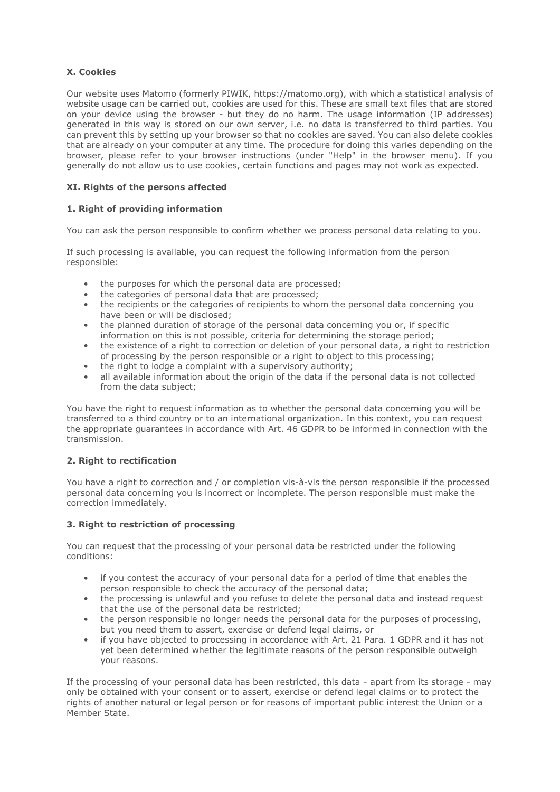# **X. Cookies**

Our website uses Matomo (formerly PIWIK, https://matomo.org), with which a statistical analysis of website usage can be carried out, cookies are used for this. These are small text files that are stored on your device using the browser - but they do no harm. The usage information (IP addresses) generated in this way is stored on our own server, i.e. no data is transferred to third parties. You can prevent this by setting up your browser so that no cookies are saved. You can also delete cookies that are already on your computer at any time. The procedure for doing this varies depending on the browser, please refer to your browser instructions (under "Help" in the browser menu). If you generally do not allow us to use cookies, certain functions and pages may not work as expected.

# **XI. Rights of the persons affected**

# **1. Right of providing information**

You can ask the person responsible to confirm whether we process personal data relating to you.

If such processing is available, you can request the following information from the person responsible:

- the purposes for which the personal data are processed;
- the categories of personal data that are processed;
- the recipients or the categories of recipients to whom the personal data concerning you have been or will be disclosed;
- the planned duration of storage of the personal data concerning you or, if specific information on this is not possible, criteria for determining the storage period;
- the existence of a right to correction or deletion of your personal data, a right to restriction of processing by the person responsible or a right to object to this processing;
- the right to lodge a complaint with a supervisory authority;
- all available information about the origin of the data if the personal data is not collected from the data subject;

You have the right to request information as to whether the personal data concerning you will be transferred to a third country or to an international organization. In this context, you can request the appropriate guarantees in accordance with Art. 46 GDPR to be informed in connection with the transmission.

# **2. Right to rectification**

You have a right to correction and / or completion vis-à-vis the person responsible if the processed personal data concerning you is incorrect or incomplete. The person responsible must make the correction immediately.

# **3. Right to restriction of processing**

You can request that the processing of your personal data be restricted under the following conditions:

- if you contest the accuracy of your personal data for a period of time that enables the person responsible to check the accuracy of the personal data;
- the processing is unlawful and you refuse to delete the personal data and instead request that the use of the personal data be restricted;
- the person responsible no longer needs the personal data for the purposes of processing, but you need them to assert, exercise or defend legal claims, or
- if you have objected to processing in accordance with Art. 21 Para. 1 GDPR and it has not yet been determined whether the legitimate reasons of the person responsible outweigh your reasons.

If the processing of your personal data has been restricted, this data - apart from its storage - may only be obtained with your consent or to assert, exercise or defend legal claims or to protect the rights of another natural or legal person or for reasons of important public interest the Union or a Member State.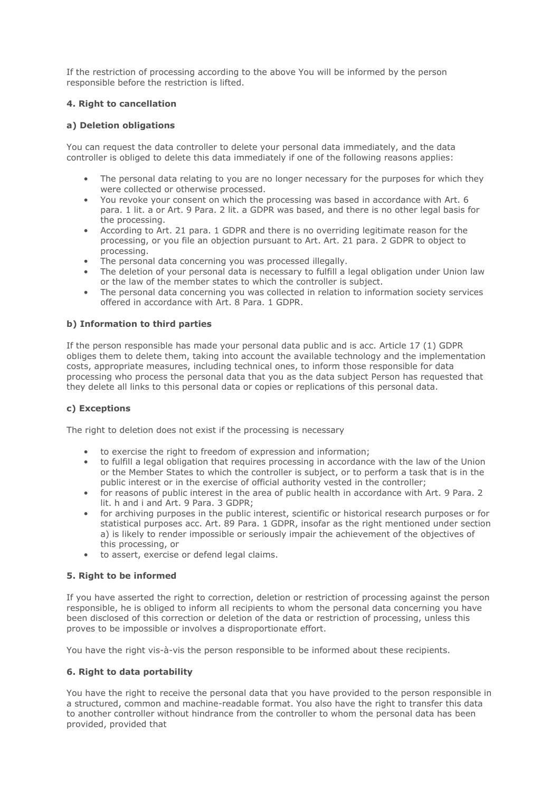If the restriction of processing according to the above You will be informed by the person responsible before the restriction is lifted.

# **4. Right to cancellation**

## **a) Deletion obligations**

You can request the data controller to delete your personal data immediately, and the data controller is obliged to delete this data immediately if one of the following reasons applies:

- The personal data relating to you are no longer necessary for the purposes for which they were collected or otherwise processed.
- You revoke your consent on which the processing was based in accordance with Art. 6 para. 1 lit. a or Art. 9 Para. 2 lit. a GDPR was based, and there is no other legal basis for the processing.
- According to Art. 21 para. 1 GDPR and there is no overriding legitimate reason for the processing, or you file an objection pursuant to Art. Art. 21 para. 2 GDPR to object to processing.
- The personal data concerning you was processed illegally.
- The deletion of your personal data is necessary to fulfill a legal obligation under Union law or the law of the member states to which the controller is subject.
- The personal data concerning you was collected in relation to information society services offered in accordance with Art. 8 Para. 1 GDPR.

# **b) Information to third parties**

If the person responsible has made your personal data public and is acc. Article 17 (1) GDPR obliges them to delete them, taking into account the available technology and the implementation costs, appropriate measures, including technical ones, to inform those responsible for data processing who process the personal data that you as the data subject Person has requested that they delete all links to this personal data or copies or replications of this personal data.

## **c) Exceptions**

The right to deletion does not exist if the processing is necessary

- to exercise the right to freedom of expression and information;
- to fulfill a legal obligation that requires processing in accordance with the law of the Union or the Member States to which the controller is subject, or to perform a task that is in the public interest or in the exercise of official authority vested in the controller;
- for reasons of public interest in the area of public health in accordance with Art. 9 Para. 2 lit. h and i and Art. 9 Para. 3 GDPR;
- for archiving purposes in the public interest, scientific or historical research purposes or for statistical purposes acc. Art. 89 Para. 1 GDPR, insofar as the right mentioned under section a) is likely to render impossible or seriously impair the achievement of the objectives of this processing, or
- to assert, exercise or defend legal claims.

# **5. Right to be informed**

If you have asserted the right to correction, deletion or restriction of processing against the person responsible, he is obliged to inform all recipients to whom the personal data concerning you have been disclosed of this correction or deletion of the data or restriction of processing, unless this proves to be impossible or involves a disproportionate effort.

You have the right vis-à-vis the person responsible to be informed about these recipients.

## **6. Right to data portability**

You have the right to receive the personal data that you have provided to the person responsible in a structured, common and machine-readable format. You also have the right to transfer this data to another controller without hindrance from the controller to whom the personal data has been provided, provided that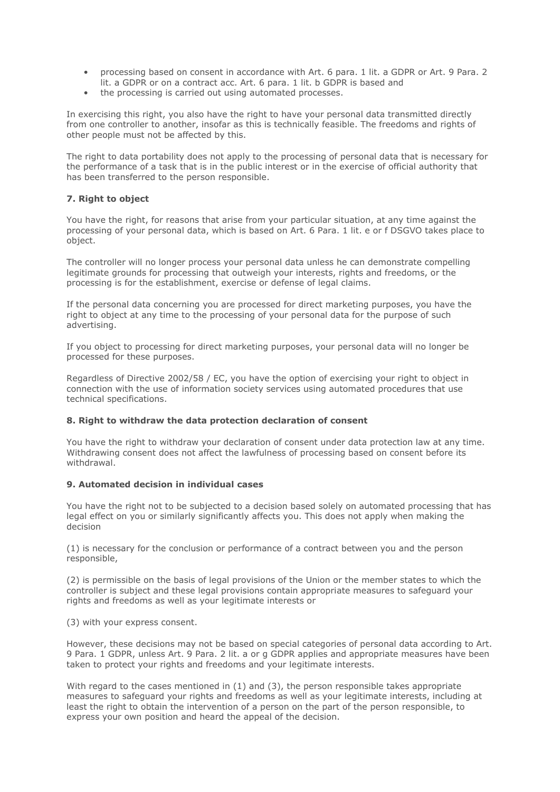- processing based on consent in accordance with Art. 6 para. 1 lit. a GDPR or Art. 9 Para. 2 lit. a GDPR or on a contract acc. Art. 6 para. 1 lit. b GDPR is based and
- the processing is carried out using automated processes.

In exercising this right, you also have the right to have your personal data transmitted directly from one controller to another, insofar as this is technically feasible. The freedoms and rights of other people must not be affected by this.

The right to data portability does not apply to the processing of personal data that is necessary for the performance of a task that is in the public interest or in the exercise of official authority that has been transferred to the person responsible.

# **7. Right to object**

You have the right, for reasons that arise from your particular situation, at any time against the processing of your personal data, which is based on Art. 6 Para. 1 lit. e or f DSGVO takes place to object.

The controller will no longer process your personal data unless he can demonstrate compelling legitimate grounds for processing that outweigh your interests, rights and freedoms, or the processing is for the establishment, exercise or defense of legal claims.

If the personal data concerning you are processed for direct marketing purposes, you have the right to object at any time to the processing of your personal data for the purpose of such advertising.

If you object to processing for direct marketing purposes, your personal data will no longer be processed for these purposes.

Regardless of Directive 2002/58 / EC, you have the option of exercising your right to object in connection with the use of information society services using automated procedures that use technical specifications.

## **8. Right to withdraw the data protection declaration of consent**

You have the right to withdraw your declaration of consent under data protection law at any time. Withdrawing consent does not affect the lawfulness of processing based on consent before its withdrawal.

## **9. Automated decision in individual cases**

You have the right not to be subjected to a decision based solely on automated processing that has legal effect on you or similarly significantly affects you. This does not apply when making the decision

(1) is necessary for the conclusion or performance of a contract between you and the person responsible,

(2) is permissible on the basis of legal provisions of the Union or the member states to which the controller is subject and these legal provisions contain appropriate measures to safeguard your rights and freedoms as well as your legitimate interests or

(3) with your express consent.

However, these decisions may not be based on special categories of personal data according to Art. 9 Para. 1 GDPR, unless Art. 9 Para. 2 lit. a or g GDPR applies and appropriate measures have been taken to protect your rights and freedoms and your legitimate interests.

With regard to the cases mentioned in (1) and (3), the person responsible takes appropriate measures to safeguard your rights and freedoms as well as your legitimate interests, including at least the right to obtain the intervention of a person on the part of the person responsible, to express your own position and heard the appeal of the decision.